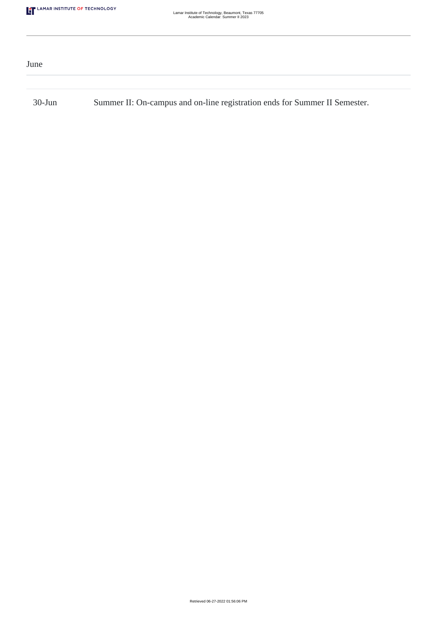| June      |                                                                            |
|-----------|----------------------------------------------------------------------------|
|           |                                                                            |
| $30$ -Jun | Summer II: On-campus and on-line registration ends for Summer II Semester. |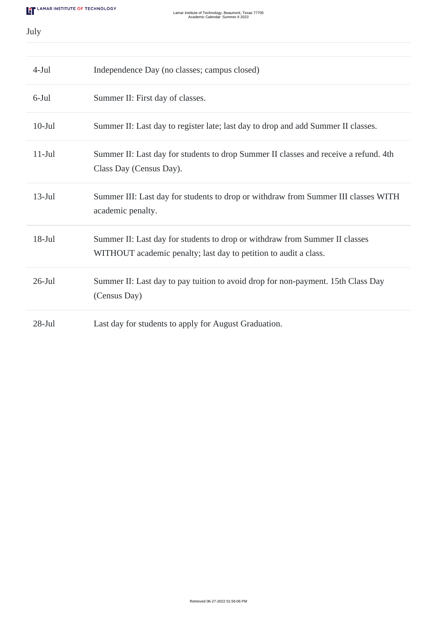July

| $4-Jul$   | Independence Day (no classes; campus closed)                                                                                                    |
|-----------|-------------------------------------------------------------------------------------------------------------------------------------------------|
| $6$ -Jul  | Summer II: First day of classes.                                                                                                                |
| $10-Jul$  | Summer II: Last day to register late; last day to drop and add Summer II classes.                                                               |
| $11-Jul$  | Summer II: Last day for students to drop Summer II classes and receive a refund. 4th<br>Class Day (Census Day).                                 |
| $13$ -Jul | Summer III: Last day for students to drop or withdraw from Summer III classes WITH<br>academic penalty.                                         |
| $18-Jul$  | Summer II: Last day for students to drop or withdraw from Summer II classes<br>WITHOUT academic penalty; last day to petition to audit a class. |
| $26$ -Jul | Summer II: Last day to pay tuition to avoid drop for non-payment. 15th Class Day<br>(Census Day)                                                |
| $28-Jul$  | Last day for students to apply for August Graduation.                                                                                           |